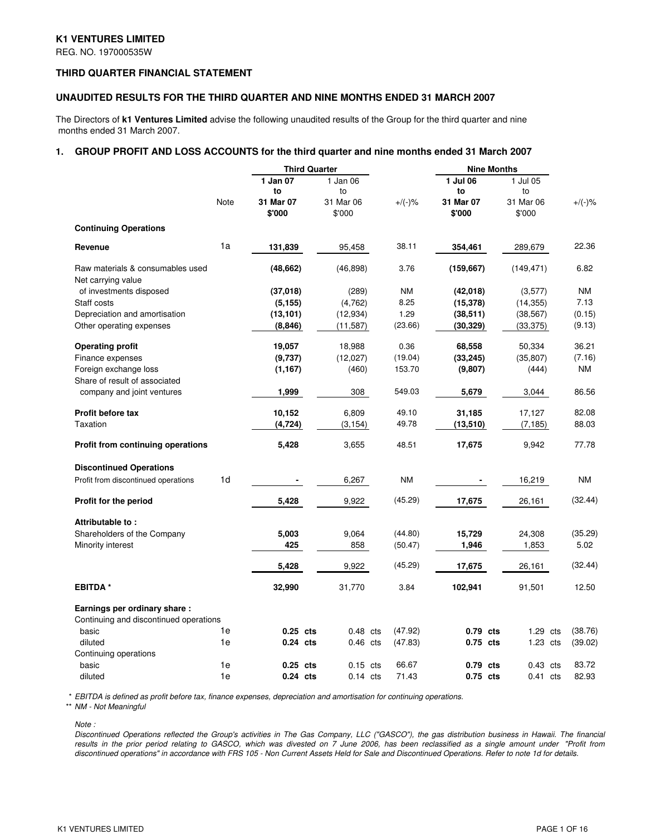## **K1 VENTURES LIMITED**

REG. NO. 197000535W

## **THIRD QUARTER FINANCIAL STATEMENT**

#### **UNAUDITED RESULTS FOR THE THIRD QUARTER AND NINE MONTHS ENDED 31 MARCH 2007**

The Directors of **k1 Ventures Limited** advise the following unaudited results of the Group for the third quarter and nine months ended 31 March 2007.

### **1. GROUP PROFIT AND LOSS ACCOUNTS for the third quarter and nine months ended 31 March 2007**

|                                                                        |      | <b>Third Quarter</b> |                     |           | <b>Nine Months</b>  |                     |           |
|------------------------------------------------------------------------|------|----------------------|---------------------|-----------|---------------------|---------------------|-----------|
|                                                                        |      | 1 Jan 07<br>to       | 1 Jan 06<br>to      |           | 1 Jul 06<br>to      | 1 Jul 05<br>to      |           |
|                                                                        | Note | 31 Mar 07<br>\$'000  | 31 Mar 06<br>\$'000 | $+/(-)$ % | 31 Mar 07<br>\$'000 | 31 Mar 06<br>\$'000 | $+/(-)$ % |
| <b>Continuing Operations</b>                                           |      |                      |                     |           |                     |                     |           |
| Revenue                                                                | 1a   | 131,839              | 95,458              | 38.11     | 354,461             | 289,679             | 22.36     |
| Raw materials & consumables used<br>Net carrying value                 |      | (48, 662)            | (46, 898)           | 3.76      | (159,667)           | (149, 471)          | 6.82      |
| of investments disposed                                                |      | (37,018)             | (289)               | <b>NM</b> | (42,018)            | (3,577)             | <b>NM</b> |
| Staff costs                                                            |      | (5, 155)             | (4,762)             | 8.25      | (15, 378)           | (14, 355)           | 7.13      |
| Depreciation and amortisation                                          |      | (13, 101)            | (12, 934)           | 1.29      | (38, 511)           | (38, 567)           | (0.15)    |
| Other operating expenses                                               |      | (8, 846)             | (11, 587)           | (23.66)   | (30, 329)           | (33, 375)           | (9.13)    |
| <b>Operating profit</b>                                                |      | 19,057               | 18,988              | 0.36      | 68,558              | 50,334              | 36.21     |
| Finance expenses                                                       |      | (9,737)              | (12,027)            | (19.04)   | (33, 245)           | (35, 807)           | (7.16)    |
| Foreign exchange loss                                                  |      | (1, 167)             | (460)               | 153.70    | (9,807)             | (444)               | NM        |
| Share of result of associated<br>company and joint ventures            |      | 1,999                | 308                 | 549.03    | 5,679               | 3,044               | 86.56     |
| <b>Profit before tax</b>                                               |      | 10,152               | 6,809               | 49.10     | 31,185              | 17,127              | 82.08     |
| Taxation                                                               |      | (4, 724)             | (3, 154)            | 49.78     | (13, 510)           | (7, 185)            | 88.03     |
| Profit from continuing operations                                      |      | 5,428                | 3,655               | 48.51     | 17,675              | 9,942               | 77.78     |
| <b>Discontinued Operations</b>                                         |      |                      |                     |           |                     |                     |           |
| Profit from discontinued operations                                    | 1d   |                      | 6,267               | ΝM        |                     | 16,219              | ΝM        |
| Profit for the period                                                  |      | 5,428                | 9,922               | (45.29)   | 17,675              | 26,161              | (32.44)   |
| Attributable to:                                                       |      |                      |                     |           |                     |                     |           |
| Shareholders of the Company                                            |      | 5,003                | 9,064               | (44.80)   | 15,729              | 24,308              | (35.29)   |
| Minority interest                                                      |      | 425                  | 858                 | (50.47)   | 1,946               | 1,853               | 5.02      |
|                                                                        |      | 5,428                | 9,922               | (45.29)   | 17,675              | 26,161              | (32.44)   |
| <b>EBITDA*</b>                                                         |      | 32,990               | 31,770              | 3.84      | 102,941             | 91,501              | 12.50     |
| Earnings per ordinary share:<br>Continuing and discontinued operations |      |                      |                     |           |                     |                     |           |
| basic                                                                  | 1e   | $0.25$ cts           | $0.48$ cts          | (47.92)   | 0.79 cts            | 1.29 cts            | (38.76)   |
| diluted                                                                | 1e   | 0.24 cts             | $0.46$ cts          | (47.83)   | 0.75 cts            | 1.23 cts            | (39.02)   |
| Continuing operations                                                  |      |                      |                     |           |                     |                     |           |
| basic                                                                  | 1e   | 0.25 cts             | $0.15$ cts          | 66.67     | 0.79 cts            | $0.43$ cts          | 83.72     |
| diluted                                                                | 1e   | 0.24 cts             | $0.14$ cts          | 71.43     | 0.75 cts            | $0.41$ cts          | 82.93     |

\* *EBITDA is defined as profit before tax, finance expenses, depreciation and amortisation for continuing operations.*

\*\* *NM - Not Meaningful*

*Note :*

Discontinued Operations reflected the Group's activities in The Gas Company, LLC ("GASCO"), the gas distribution business in Hawaii. The financial results in the prior period relating to GASCO, which was divested on 7 June 2006, has been reclassified as a single amount under "Profit from discontinued operations" in accordance with FRS 105 - Non Current Assets Held for Sale and Discontinued Operations. Refer to note 1d for details.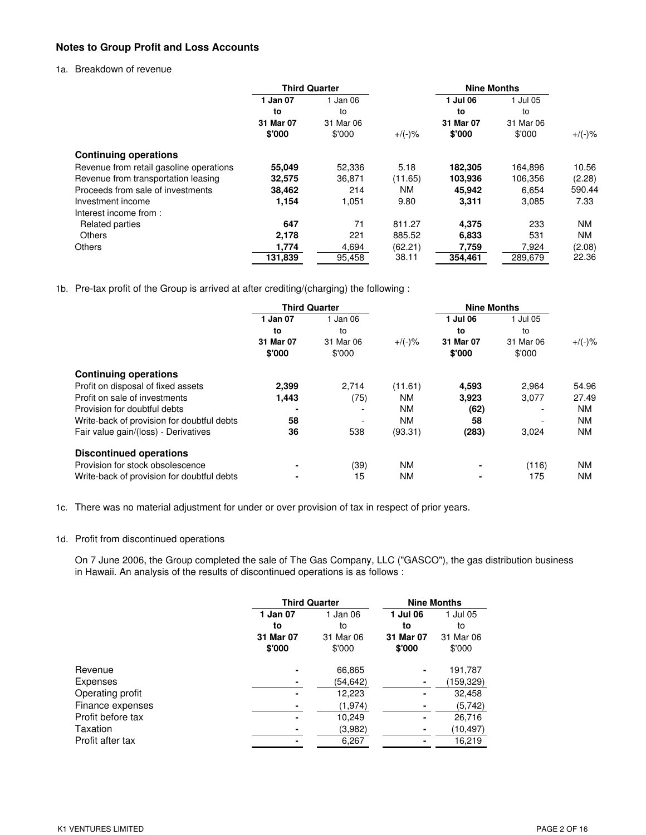# **Notes to Group Profit and Loss Accounts**

## 1a. Breakdown of revenue

|                                         | <b>Third Quarter</b> |           |           | <b>Nine Months</b> |           |           |
|-----------------------------------------|----------------------|-----------|-----------|--------------------|-----------|-----------|
|                                         | 1 Jan 07             | 1 Jan 06  |           | 1 Jul 06           | 1 Jul 05  |           |
|                                         | to                   | to        |           | to                 | to        |           |
|                                         | 31 Mar 07            | 31 Mar 06 |           | 31 Mar 07          | 31 Mar 06 |           |
|                                         | \$'000               | \$'000    | $+$ /(-)% | \$'000             | \$'000    | $+/(-)$ % |
| <b>Continuing operations</b>            |                      |           |           |                    |           |           |
| Revenue from retail gasoline operations | 55,049               | 52,336    | 5.18      | 182,305            | 164,896   | 10.56     |
| Revenue from transportation leasing     | 32,575               | 36,871    | (11.65)   | 103,936            | 106,356   | (2.28)    |
| Proceeds from sale of investments       | 38,462               | 214       | NM.       | 45.942             | 6,654     | 590.44    |
| Investment income                       | 1,154                | 1,051     | 9.80      | 3,311              | 3,085     | 7.33      |
| Interest income from:                   |                      |           |           |                    |           |           |
| <b>Related parties</b>                  | 647                  | 71        | 811.27    | 4,375              | 233       | NM        |
| <b>Others</b>                           | 2,178                | 221       | 885.52    | 6,833              | 531       | ΝM        |
| <b>Others</b>                           | 1,774                | 4,694     | (62.21)   | 7,759              | 7,924     | (2.08)    |
|                                         | 131,839              | 95,458    | 38.11     | 354.461            | 289,679   | 22.36     |

1b. Pre-tax profit of the Group is arrived at after crediting/(charging) the following :

|                                            | <b>Third Quarter</b> |                          |           | <b>Nine Months</b>  |                     |           |
|--------------------------------------------|----------------------|--------------------------|-----------|---------------------|---------------------|-----------|
|                                            | 1 Jan 07             | 1 Jan 06                 |           | 1 Jul 06            | 1 Jul 05            |           |
|                                            | to                   | to                       |           | to                  | to                  |           |
|                                            | 31 Mar 07<br>\$'000  | 31 Mar 06<br>\$'000      | $+/(-)$ % | 31 Mar 07<br>\$'000 | 31 Mar 06<br>\$'000 | $+$ /(-)% |
| <b>Continuing operations</b>               |                      |                          |           |                     |                     |           |
| Profit on disposal of fixed assets         | 2,399                | 2.714                    | (11.61)   | 4,593               | 2.964               | 54.96     |
| Profit on sale of investments              | 1,443                | (75)                     | <b>NM</b> | 3,923               | 3,077               | 27.49     |
| Provision for doubtful debts               | ٠                    | $\overline{\phantom{a}}$ | <b>NM</b> | (62)                |                     | <b>NM</b> |
| Write-back of provision for doubtful debts | 58                   |                          | <b>NM</b> | 58                  |                     | <b>NM</b> |
| Fair value gain/(loss) - Derivatives       | 36                   | 538                      | (93.31)   | (283)               | 3,024               | <b>NM</b> |
| <b>Discontinued operations</b>             |                      |                          |           |                     |                     |           |
| Provision for stock obsolescence           | ۰                    | (39)                     | <b>NM</b> | ۰                   | (116)               | <b>NM</b> |
| Write-back of provision for doubtful debts |                      | 15                       | <b>NM</b> | ٠                   | 175                 | <b>NM</b> |

1c. There was no material adjustment for under or over provision of tax in respect of prior years.

# 1d. Profit from discontinued operations

On 7 June 2006, the Group completed the sale of The Gas Company, LLC ("GASCO"), the gas distribution business in Hawaii. An analysis of the results of discontinued operations is as follows :

|                   |           | <b>Third Quarter</b> | <b>Nine Months</b> |            |  |
|-------------------|-----------|----------------------|--------------------|------------|--|
|                   | 1 Jan 07  | 1 Jan 06             | 1 Jul 06           | 1 Jul 05   |  |
|                   | to        | to                   | to                 | to         |  |
|                   | 31 Mar 07 | 31 Mar 06            | 31 Mar 07          | 31 Mar 06  |  |
|                   | \$'000    | \$'000               | \$'000             | \$'000     |  |
| Revenue           |           | 66,865               |                    | 191,787    |  |
| Expenses          |           | (54,642)             |                    | (159, 329) |  |
| Operating profit  |           | 12,223               |                    | 32,458     |  |
| Finance expenses  |           | (1, 974)             |                    | (5,742)    |  |
| Profit before tax |           | 10,249               |                    | 26,716     |  |
| Taxation          |           | (3,982)              |                    | (10,497)   |  |
| Profit after tax  |           | 6.267                |                    | 16.219     |  |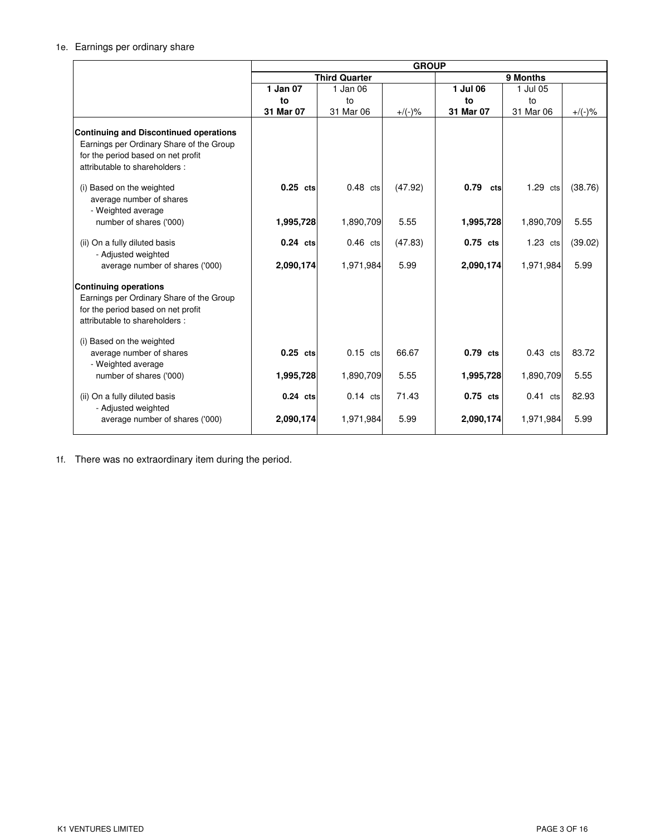# 1e. Earnings per ordinary share

|                                                                                                                                                                  | <b>GROUP</b>         |            |           |             |            |           |  |  |
|------------------------------------------------------------------------------------------------------------------------------------------------------------------|----------------------|------------|-----------|-------------|------------|-----------|--|--|
|                                                                                                                                                                  | <b>Third Quarter</b> |            |           |             | 9 Months   |           |  |  |
|                                                                                                                                                                  | 1 Jan 07             | 1 Jan 06   |           | 1 Jul 06    | 1 Jul 05   |           |  |  |
|                                                                                                                                                                  | to                   | to         |           | to          | to         |           |  |  |
|                                                                                                                                                                  | 31 Mar 07            | 31 Mar 06  | $+/(-)$ % | 31 Mar 07   | 31 Mar 06  | $+/(-)$ % |  |  |
| <b>Continuing and Discontinued operations</b><br>Earnings per Ordinary Share of the Group<br>for the period based on net profit<br>attributable to shareholders: |                      |            |           |             |            |           |  |  |
| (i) Based on the weighted<br>average number of shares<br>- Weighted average                                                                                      | $0.25$ cts           | $0.48$ cts | (47.92)   | 0.79<br>cts | $1.29$ cts | (38.76)   |  |  |
| number of shares ('000)                                                                                                                                          | 1,995,728            | 1,890,709  | 5.55      | 1,995,728   | 1,890,709  | 5.55      |  |  |
| (ii) On a fully diluted basis<br>- Adjusted weighted                                                                                                             | $0.24$ cts           | $0.46$ cts | (47.83)   | 0.75 cts    | $1.23$ cts | (39.02)   |  |  |
| average number of shares ('000)                                                                                                                                  | 2,090,174            | 1,971,984  | 5.99      | 2,090,174   | 1,971,984  | 5.99      |  |  |
| <b>Continuing operations</b><br>Earnings per Ordinary Share of the Group<br>for the period based on net profit<br>attributable to shareholders:                  |                      |            |           |             |            |           |  |  |
| (i) Based on the weighted<br>average number of shares<br>- Weighted average                                                                                      | $0.25$ cts           | $0.15$ cts | 66.67     | 0.79 cts    | $0.43$ cts | 83.72     |  |  |
| number of shares ('000)                                                                                                                                          | 1,995,728            | 1,890,709  | 5.55      | 1,995,728   | 1,890,709  | 5.55      |  |  |
| (ii) On a fully diluted basis<br>- Adjusted weighted                                                                                                             | $0.24$ cts           | $0.14$ cts | 71.43     | $0.75$ cts  | $0.41$ cts | 82.93     |  |  |
| average number of shares ('000)                                                                                                                                  | 2,090,174            | 1,971,984  | 5.99      | 2,090,174   | 1,971,984  | 5.99      |  |  |

1f. There was no extraordinary item during the period.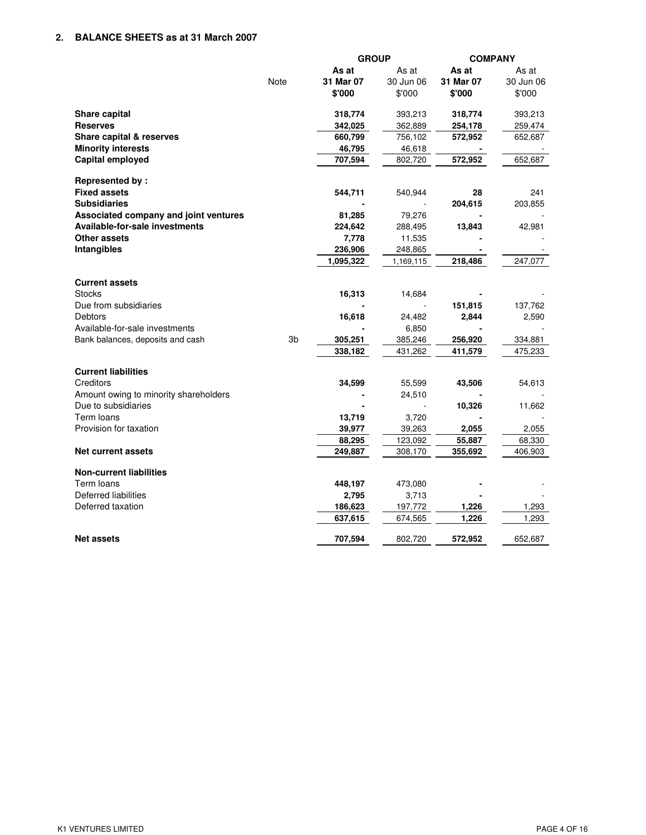# **2. BALANCE SHEETS as at 31 March 2007**

|                                       |                | <b>GROUP</b> |           |           | <b>COMPANY</b> |  |
|---------------------------------------|----------------|--------------|-----------|-----------|----------------|--|
|                                       |                | As at        | As at     | As at     | As at          |  |
|                                       | Note           | 31 Mar 07    | 30 Jun 06 | 31 Mar 07 | 30 Jun 06      |  |
|                                       |                | \$'000       | \$'000    | \$'000    | \$'000         |  |
| Share capital                         |                | 318,774      | 393,213   | 318,774   | 393,213        |  |
| <b>Reserves</b>                       |                | 342,025      | 362,889   | 254,178   | 259,474        |  |
| <b>Share capital &amp; reserves</b>   |                | 660,799      | 756,102   | 572,952   | 652,687        |  |
| <b>Minority interests</b>             |                | 46,795       | 46,618    |           |                |  |
| Capital employed                      |                | 707,594      | 802,720   | 572,952   | 652,687        |  |
| <b>Represented by:</b>                |                |              |           |           |                |  |
| <b>Fixed assets</b>                   |                | 544,711      | 540,944   | 28        | 241            |  |
| <b>Subsidiaries</b>                   |                |              |           | 204,615   | 203,855        |  |
| Associated company and joint ventures |                | 81,285       | 79,276    |           |                |  |
| <b>Available-for-sale investments</b> |                | 224,642      | 288,495   | 13,843    | 42,981         |  |
| Other assets                          |                | 7,778        | 11,535    |           |                |  |
| Intangibles                           |                | 236,906      | 248,865   |           |                |  |
|                                       |                | 1,095,322    | 1,169,115 | 218,486   | 247,077        |  |
| <b>Current assets</b>                 |                |              |           |           |                |  |
| <b>Stocks</b>                         |                | 16,313       | 14,684    |           |                |  |
| Due from subsidiaries                 |                |              |           | 151,815   | 137,762        |  |
| Debtors                               |                | 16,618       | 24,482    | 2,844     | 2,590          |  |
| Available-for-sale investments        |                |              | 6,850     |           |                |  |
| Bank balances, deposits and cash      | 3 <sub>b</sub> | 305,251      | 385,246   | 256,920   | 334,881        |  |
|                                       |                | 338,182      | 431,262   | 411,579   | 475,233        |  |
| <b>Current liabilities</b>            |                |              |           |           |                |  |
| Creditors                             |                | 34,599       | 55,599    | 43,506    | 54,613         |  |
| Amount owing to minority shareholders |                |              | 24,510    |           |                |  |
| Due to subsidiaries                   |                |              |           | 10,326    | 11,662         |  |
| Term loans                            |                | 13,719       | 3,720     |           |                |  |
| Provision for taxation                |                | 39,977       | 39,263    | 2,055     | 2,055          |  |
|                                       |                | 88,295       | 123,092   | 55,887    | 68,330         |  |
| <b>Net current assets</b>             |                | 249,887      | 308,170   | 355,692   | 406,903        |  |
| <b>Non-current liabilities</b>        |                |              |           |           |                |  |
| Term loans                            |                | 448,197      | 473,080   |           |                |  |
| Deferred liabilities                  |                | 2,795        | 3,713     |           |                |  |
| Deferred taxation                     |                | 186,623      | 197,772   | 1,226     | 1,293          |  |
|                                       |                | 637,615      | 674,565   | 1,226     | 1,293          |  |
| <b>Net assets</b>                     |                | 707,594      | 802,720   | 572,952   | 652,687        |  |
|                                       |                |              |           |           |                |  |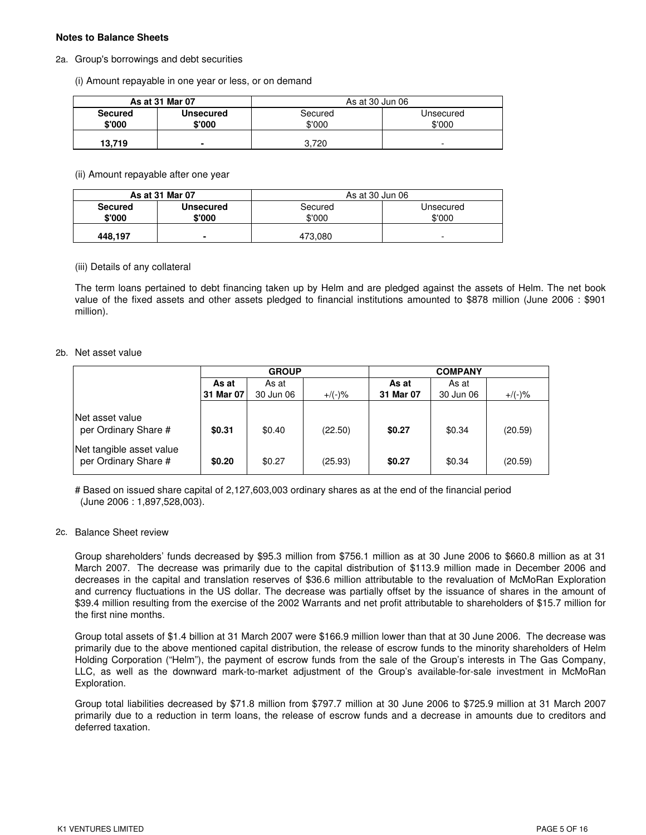## **Notes to Balance Sheets**

### 2a. Group's borrowings and debt securities

(i) Amount repayable in one year or less, or on demand

|                | As at 31 Mar 07 | As at 30 Jun 06 |                          |  |
|----------------|-----------------|-----------------|--------------------------|--|
| <b>Secured</b> | Unsecured       | Secured         | Unsecured                |  |
| \$'000         | \$'000          | \$'000          | \$'000                   |  |
| 13.719         |                 | 3.720           | $\overline{\phantom{a}}$ |  |

## (ii) Amount repayable after one year

|                | As at 31 Mar 07  | As at 30 Jun 06 |                          |  |
|----------------|------------------|-----------------|--------------------------|--|
| <b>Secured</b> | <b>Unsecured</b> | Secured         | Unsecured                |  |
| \$'000         | \$'000           | \$'000          | \$'000                   |  |
| 448.197        |                  | 473.080         | $\overline{\phantom{0}}$ |  |

### (iii) Details of any collateral

The term loans pertained to debt financing taken up by Helm and are pledged against the assets of Helm. The net book value of the fixed assets and other assets pledged to financial institutions amounted to \$878 million (June 2006 : \$901 million).

### 2b. Net asset value

|                                                  | <b>GROUP</b> |           |           | <b>COMPANY</b> |           |           |  |
|--------------------------------------------------|--------------|-----------|-----------|----------------|-----------|-----------|--|
|                                                  | As at        | As at     |           | As at          | As at     |           |  |
|                                                  | 31 Mar 07    | 30 Jun 06 | $+/(-)$ % | 31 Mar 07      | 30 Jun 06 | $+/(-)$ % |  |
| Net asset value<br>per Ordinary Share #          | \$0.31       | \$0.40    | (22.50)   | \$0.27         | \$0.34    | (20.59)   |  |
| Net tangible asset value<br>per Ordinary Share # | \$0.20       | \$0.27    | (25.93)   | \$0.27         | \$0.34    | (20.59)   |  |

# Based on issued share capital of 2,127,603,003 ordinary shares as at the end of the financial period (June 2006 : 1,897,528,003).

### 2c. Balance Sheet review

Group shareholders' funds decreased by \$95.3 million from \$756.1 million as at 30 June 2006 to \$660.8 million as at 31 March 2007. The decrease was primarily due to the capital distribution of \$113.9 million made in December 2006 and decreases in the capital and translation reserves of \$36.6 million attributable to the revaluation of McMoRan Exploration and currency fluctuations in the US dollar. The decrease was partially offset by the issuance of shares in the amount of \$39.4 million resulting from the exercise of the 2002 Warrants and net profit attributable to shareholders of \$15.7 million for the first nine months.

Group total assets of \$1.4 billion at 31 March 2007 were \$166.9 million lower than that at 30 June 2006. The decrease was primarily due to the above mentioned capital distribution, the release of escrow funds to the minority shareholders of Helm Holding Corporation ("Helm"), the payment of escrow funds from the sale of the Group's interests in The Gas Company, LLC, as well as the downward mark-to-market adjustment of the Group's available-for-sale investment in McMoRan Exploration.

Group total liabilities decreased by \$71.8 million from \$797.7 million at 30 June 2006 to \$725.9 million at 31 March 2007 primarily due to a reduction in term loans, the release of escrow funds and a decrease in amounts due to creditors and deferred taxation.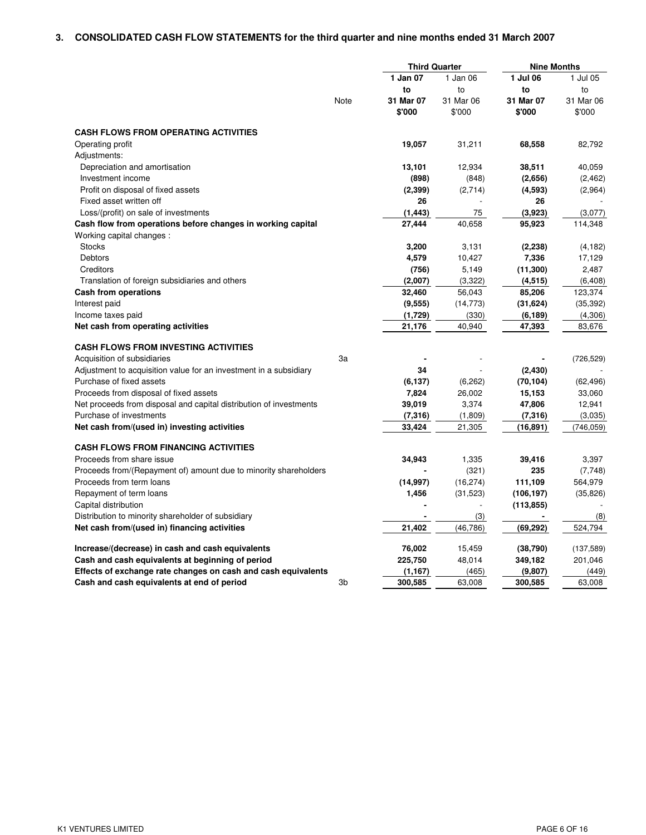# **3. CONSOLIDATED CASH FLOW STATEMENTS for the third quarter and nine months ended 31 March 2007**

|                                                                    |      | <b>Third Quarter</b> |           | <b>Nine Months</b> |            |
|--------------------------------------------------------------------|------|----------------------|-----------|--------------------|------------|
|                                                                    |      | 1 Jan 07             | 1 Jan 06  | 1 Jul 06           | 1 Jul 05   |
|                                                                    |      | to                   | to        | to                 | to         |
|                                                                    | Note | 31 Mar 07            | 31 Mar 06 | 31 Mar 07          | 31 Mar 06  |
|                                                                    |      | \$'000               | \$'000    | \$'000             | \$'000     |
| <b>CASH FLOWS FROM OPERATING ACTIVITIES</b>                        |      |                      |           |                    |            |
| Operating profit                                                   |      | 19,057               | 31,211    | 68,558             | 82,792     |
| Adjustments:                                                       |      |                      |           |                    |            |
| Depreciation and amortisation                                      |      | 13,101               | 12,934    | 38,511             | 40,059     |
| Investment income                                                  |      | (898)                | (848)     | (2,656)            | (2, 462)   |
| Profit on disposal of fixed assets                                 |      | (2, 399)             | (2,714)   | (4,593)            | (2,964)    |
| Fixed asset written off                                            |      | 26                   |           | 26                 |            |
| Loss/(profit) on sale of investments                               |      | (1, 443)             | 75        | (3,923)            | (3,077)    |
| Cash flow from operations before changes in working capital        |      | 27,444               | 40,658    | 95,923             | 114,348    |
| Working capital changes:                                           |      |                      |           |                    |            |
| <b>Stocks</b>                                                      |      | 3,200                | 3,131     | (2, 238)           | (4, 182)   |
| Debtors                                                            |      | 4,579                | 10,427    | 7,336              | 17,129     |
| Creditors                                                          |      | (756)                | 5,149     | (11, 300)          | 2,487      |
| Translation of foreign subsidiaries and others                     |      | (2,007)              | (3,322)   | (4, 515)           | (6, 408)   |
| Cash from operations                                               |      | 32,460               | 56,043    | 85,206             | 123,374    |
| Interest paid                                                      |      | (9, 555)             | (14, 773) | (31, 624)          | (35, 392)  |
| Income taxes paid                                                  |      | (1,729)              | (330)     | (6, 189)           | (4,306)    |
| Net cash from operating activities                                 |      | 21,176               | 40,940    | 47,393             | 83,676     |
| <b>CASH FLOWS FROM INVESTING ACTIVITIES</b>                        |      |                      |           |                    |            |
| Acquisition of subsidiaries                                        | 3a   |                      |           |                    | (726, 529) |
| Adjustment to acquisition value for an investment in a subsidiary  |      | 34                   |           | (2, 430)           |            |
| Purchase of fixed assets                                           |      | (6, 137)             | (6, 262)  | (70, 104)          | (62, 496)  |
| Proceeds from disposal of fixed assets                             |      | 7,824                | 26,002    | 15,153             | 33,060     |
| Net proceeds from disposal and capital distribution of investments |      | 39,019               | 3,374     | 47,806             | 12,941     |
| Purchase of investments                                            |      | (7, 316)             | (1,809)   | (7,316)            | (3,035)    |
| Net cash from/(used in) investing activities                       |      | 33,424               | 21,305    | (16, 891)          | (746, 059) |
| <b>CASH FLOWS FROM FINANCING ACTIVITIES</b>                        |      |                      |           |                    |            |
| Proceeds from share issue                                          |      | 34,943               | 1,335     | 39,416             | 3,397      |
| Proceeds from/(Repayment of) amount due to minority shareholders   |      |                      | (321)     | 235                | (7, 748)   |
| Proceeds from term loans                                           |      | (14, 997)            | (16, 274) | 111,109            | 564,979    |
| Repayment of term loans                                            |      | 1,456                | (31, 523) | (106, 197)         | (35, 826)  |
| Capital distribution                                               |      |                      |           | (113, 855)         |            |
| Distribution to minority shareholder of subsidiary                 |      |                      | (3)       |                    | (8)        |
| Net cash from/(used in) financing activities                       |      | 21,402               | (46, 786) | (69, 292)          | 524,794    |
|                                                                    |      |                      |           |                    |            |
| Increase/(decrease) in cash and cash equivalents                   |      | 76,002               | 15,459    | (38, 790)          | (137, 589) |
| Cash and cash equivalents at beginning of period                   |      | 225,750              | 48,014    | 349,182            | 201,046    |
| Effects of exchange rate changes on cash and cash equivalents      |      | (1, 167)             | (465)     | (9,807)            | (449)      |
| Cash and cash equivalents at end of period                         | 3b   | 300,585              | 63,008    | 300,585            | 63,008     |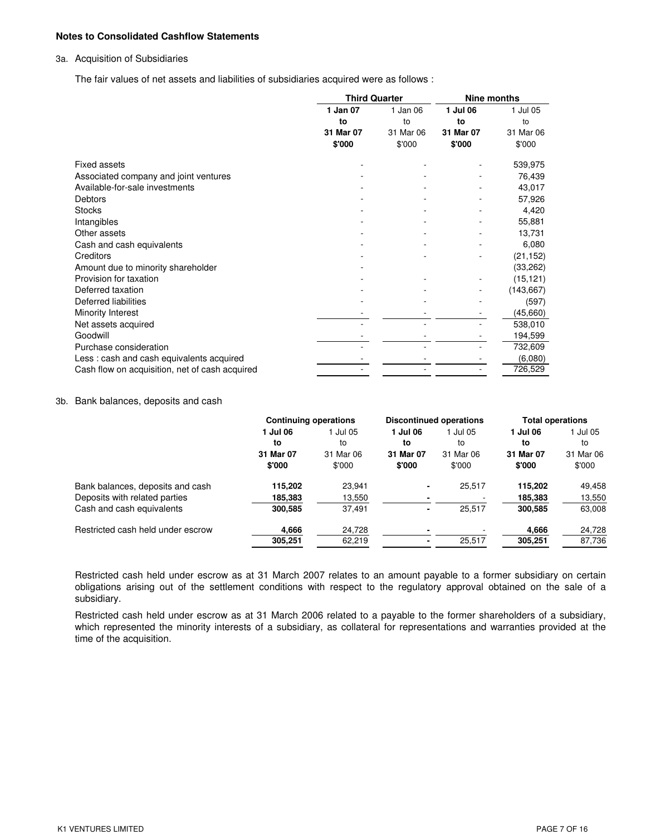### **Notes to Consolidated Cashflow Statements**

### 3a. Acquisition of Subsidiaries

The fair values of net assets and liabilities of subsidiaries acquired were as follows :

|                                                | <b>Third Quarter</b> |           | <b>Nine months</b> |            |  |
|------------------------------------------------|----------------------|-----------|--------------------|------------|--|
|                                                | 1 Jan 07             | 1 Jan 06  | 1 Jul 06           | 1 Jul 05   |  |
|                                                | to                   | to        | to                 | to         |  |
|                                                | 31 Mar 07            | 31 Mar 06 | 31 Mar 07          | 31 Mar 06  |  |
|                                                | \$'000               | \$'000    | \$'000             | \$'000     |  |
| <b>Fixed assets</b>                            |                      |           |                    | 539,975    |  |
| Associated company and joint ventures          |                      |           |                    | 76,439     |  |
| Available-for-sale investments                 |                      |           |                    | 43,017     |  |
| <b>Debtors</b>                                 |                      |           |                    | 57,926     |  |
| <b>Stocks</b>                                  |                      |           |                    | 4,420      |  |
| Intangibles                                    |                      |           |                    | 55,881     |  |
| Other assets                                   |                      |           |                    | 13,731     |  |
| Cash and cash equivalents                      |                      |           |                    | 6,080      |  |
| Creditors                                      |                      |           |                    | (21, 152)  |  |
| Amount due to minority shareholder             |                      |           |                    | (33, 262)  |  |
| Provision for taxation                         |                      |           |                    | (15, 121)  |  |
| Deferred taxation                              |                      |           |                    | (143, 667) |  |
| Deferred liabilities                           |                      |           |                    | (597)      |  |
| Minority Interest                              |                      |           |                    | (45, 660)  |  |
| Net assets acquired                            |                      |           |                    | 538,010    |  |
| Goodwill                                       |                      |           |                    | 194,599    |  |
| Purchase consideration                         |                      |           |                    | 732,609    |  |
| Less: cash and cash equivalents acquired       |                      |           |                    | (6,080)    |  |
| Cash flow on acquisition, net of cash acquired |                      |           |                    | 726,529    |  |

### 3b. Bank balances, deposits and cash

|                                   | <b>Continuing operations</b> |           | <b>Discontinued operations</b> |           | <b>Total operations</b> |           |
|-----------------------------------|------------------------------|-----------|--------------------------------|-----------|-------------------------|-----------|
|                                   | 1 Jul 06                     | 1 Jul 05  | 1 Jul 06                       | 1 Jul 05  | 1 Jul 06                | l Jul 05  |
|                                   | to                           | to        | to                             | to        | to                      | to        |
|                                   | 31 Mar 07                    | 31 Mar 06 | 31 Mar 07                      | 31 Mar 06 | 31 Mar 07               | 31 Mar 06 |
|                                   | \$'000                       | \$'000    | \$'000                         | \$'000    | \$'000                  | \$'000    |
| Bank balances, deposits and cash  | 115,202                      | 23,941    | $\blacksquare$                 | 25,517    | 115.202                 | 49,458    |
| Deposits with related parties     | 185,383                      | 13,550    |                                |           | 185,383                 | 13,550    |
| Cash and cash equivalents         | 300,585                      | 37,491    | $\blacksquare$                 | 25,517    | 300,585                 | 63,008    |
| Restricted cash held under escrow | 4,666                        | 24,728    |                                |           | 4,666                   | 24,728    |
|                                   | 305,251                      | 62,219    |                                | 25,517    | 305,251                 | 87,736    |

Restricted cash held under escrow as at 31 March 2007 relates to an amount payable to a former subsidiary on certain obligations arising out of the settlement conditions with respect to the regulatory approval obtained on the sale of a subsidiary.

Restricted cash held under escrow as at 31 March 2006 related to a payable to the former shareholders of a subsidiary, which represented the minority interests of a subsidiary, as collateral for representations and warranties provided at the time of the acquisition.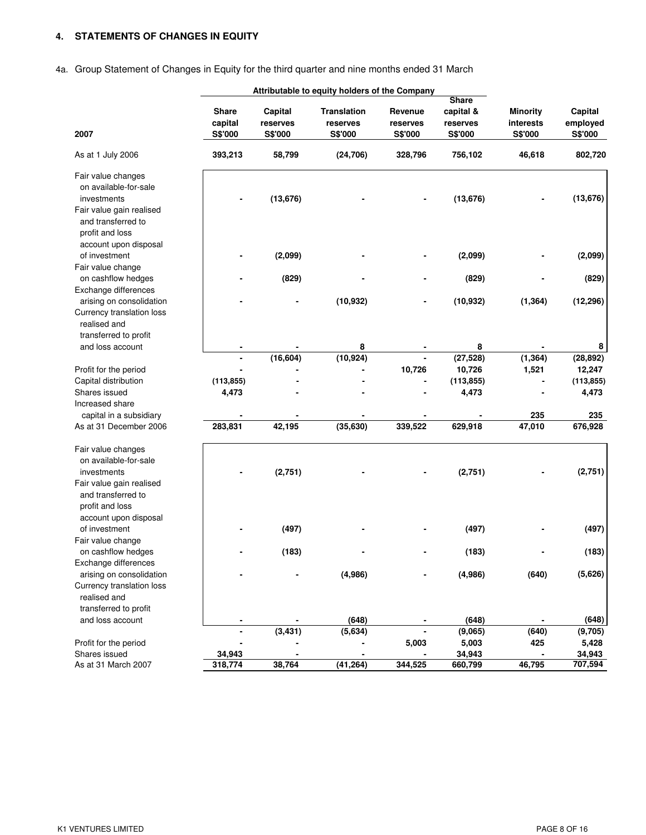# **4. STATEMENTS OF CHANGES IN EQUITY**

# 4a. Group Statement of Changes in Equity for the third quarter and nine months ended 31 March

|                                                                                                                                 |                  | Attributable to equity holders of the Company |                                |                     |                                       |                              |                     |
|---------------------------------------------------------------------------------------------------------------------------------|------------------|-----------------------------------------------|--------------------------------|---------------------|---------------------------------------|------------------------------|---------------------|
|                                                                                                                                 | Share<br>capital | Capital<br>reserves                           | <b>Translation</b><br>reserves | Revenue<br>reserves | <b>Share</b><br>capital &<br>reserves | <b>Minority</b><br>interests | Capital<br>employed |
| 2007                                                                                                                            | S\$'000          | S\$'000                                       | S\$'000                        | S\$'000             | S\$'000                               | S\$'000                      | S\$'000             |
| As at 1 July 2006                                                                                                               | 393,213          | 58,799                                        | (24, 706)                      | 328,796             | 756,102                               | 46,618                       | 802,720             |
| Fair value changes<br>on available-for-sale<br>investments<br>Fair value gain realised<br>and transferred to<br>profit and loss |                  | (13, 676)                                     |                                |                     | (13, 676)                             |                              | (13, 676)           |
| account upon disposal<br>of investment                                                                                          |                  | (2,099)                                       |                                |                     | (2,099)                               |                              | (2,099)             |
| Fair value change<br>on cashflow hedges                                                                                         |                  | (829)                                         |                                |                     | (829)                                 |                              | (829)               |
| Exchange differences<br>arising on consolidation<br>Currency translation loss<br>realised and                                   |                  |                                               | (10, 932)                      |                     | (10, 932)                             | (1, 364)                     | (12, 296)           |
| transferred to profit<br>and loss account                                                                                       |                  |                                               | 8                              |                     | 8                                     |                              | 8                   |
|                                                                                                                                 |                  | (16, 604)                                     | (10, 924)                      |                     | (27, 528)                             | (1, 364)                     | (28, 892)           |
| Profit for the period                                                                                                           |                  |                                               |                                | 10,726              | 10,726                                | 1,521                        | 12,247              |
| Capital distribution                                                                                                            | (113, 855)       |                                               |                                |                     | (113, 855)                            |                              | (113, 855)          |
| Shares issued                                                                                                                   | 4,473            |                                               |                                |                     | 4,473                                 |                              | 4,473               |
| Increased share                                                                                                                 |                  |                                               |                                |                     |                                       |                              |                     |
| capital in a subsidiary                                                                                                         |                  |                                               |                                |                     |                                       | 235                          | 235                 |
| As at 31 December 2006                                                                                                          | 283,831          | 42,195                                        | (35, 630)                      | 339,522             | 629,918                               | 47,010                       | 676,928             |
| Fair value changes<br>on available-for-sale<br>investments<br>Fair value gain realised<br>and transferred to<br>profit and loss |                  | (2,751)                                       |                                |                     | (2,751)                               |                              | (2,751)             |
| account upon disposal<br>of investment<br>Fair value change                                                                     |                  | (497)                                         |                                |                     | (497)                                 |                              | (497)               |
| on cashflow hedges<br>Exchange differences                                                                                      |                  | (183)                                         |                                |                     | (183)                                 |                              | (183)               |
| arising on consolidation<br>Currency translation loss<br>realised and<br>transferred to profit                                  |                  |                                               | (4,986)                        |                     | (4,986)                               | (640)                        | (5,626)             |
| and loss account                                                                                                                |                  |                                               | (648)                          |                     | (648)                                 |                              | (648)               |
|                                                                                                                                 |                  | (3, 431)                                      | (5,634)                        |                     | (9,065)                               | (640)                        | (9,705)             |
| Profit for the period                                                                                                           |                  |                                               |                                | 5,003               | 5,003                                 | 425                          | 5,428               |
| Shares issued                                                                                                                   | 34,943           |                                               |                                |                     | 34,943                                |                              | 34,943              |
| As at 31 March 2007                                                                                                             | 318,774          | 38,764                                        | (41, 264)                      | 344,525             | 660,799                               | 46,795                       | 707,594             |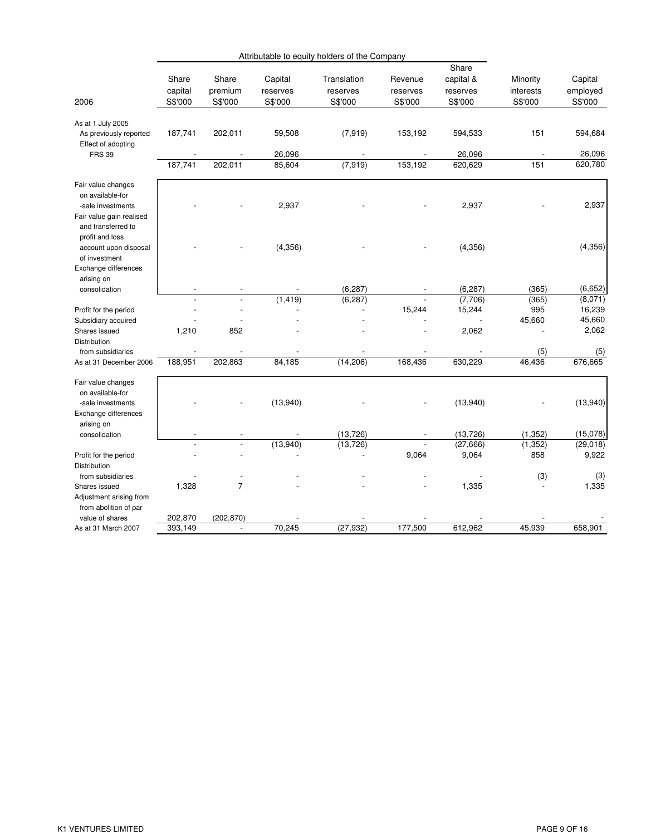|                                                                                                                                  |                    |                          |                            | Attributable to equity holders of the Company |                                      |                                |                       |                              |
|----------------------------------------------------------------------------------------------------------------------------------|--------------------|--------------------------|----------------------------|-----------------------------------------------|--------------------------------------|--------------------------------|-----------------------|------------------------------|
|                                                                                                                                  | Share<br>capital   | Share<br>premium         | Capital<br>reserves        | Translation<br>reserves                       | Revenue<br>reserves                  | Share<br>capital &<br>reserves | Minority<br>interests | Capital<br>employed          |
| 2006                                                                                                                             | S\$'000            | S\$'000                  | S\$'000                    | S\$'000                                       | S\$'000                              | S\$'000                        | S\$'000               | S\$'000                      |
| As at 1 July 2005<br>As previously reported<br>Effect of adopting<br><b>FRS 39</b>                                               | 187,741<br>187,741 | 202,011<br>202,011       | 59,508<br>26,096<br>85,604 | (7, 919)<br>(7, 919)                          | 153,192<br>$\overline{a}$<br>153,192 | 594,533<br>26,096<br>620,629   | 151<br>151            | 594,684<br>26,096<br>620,780 |
| Fair value changes<br>on available-for<br>-sale investments<br>Fair value gain realised<br>and transferred to<br>profit and loss |                    |                          | 2,937                      |                                               |                                      | 2,937                          |                       | 2,937                        |
| account upon disposal<br>of investment<br>Exchange differences<br>arising on                                                     |                    |                          | (4, 356)                   |                                               |                                      | (4,356)                        |                       | (4,356)                      |
| consolidation                                                                                                                    |                    | $\overline{\phantom{a}}$ |                            | (6, 287)                                      |                                      | (6, 287)                       | (365)                 | (6,652)                      |
|                                                                                                                                  |                    |                          | (1, 419)                   | (6, 287)                                      |                                      | (7,706)                        | (365)                 | (8,071)                      |
| Profit for the period                                                                                                            |                    |                          |                            |                                               | 15,244                               | 15,244                         | 995                   | 16,239                       |
| Subsidiary acquired                                                                                                              |                    |                          |                            |                                               |                                      |                                | 45,660                | 45,660                       |
| Shares issued<br><b>Distribution</b>                                                                                             | 1,210              | 852                      |                            |                                               |                                      | 2,062                          |                       | 2,062                        |
| from subsidiaries                                                                                                                |                    |                          |                            |                                               |                                      |                                | (5)                   | (5)                          |
| As at 31 December 2006                                                                                                           | 188,951            | 202,863                  | 84,185                     | (14, 206)                                     | 168,436                              | 630,229                        | 46,436                | 676,665                      |
| Fair value changes<br>on available-for<br>-sale investments<br>Exchange differences<br>arising on                                |                    |                          | (13,940)                   |                                               |                                      | (13,940)                       |                       | (13,940)                     |
| consolidation                                                                                                                    |                    |                          |                            | (13, 726)                                     |                                      | (13, 726)                      | (1, 352)              | (15,078)                     |
|                                                                                                                                  |                    |                          | (13,940)                   | (13, 726)                                     |                                      | (27, 666)                      | (1, 352)              | (29,018)                     |
| Profit for the period<br>Distribution                                                                                            |                    |                          |                            |                                               | 9,064                                | 9,064                          | 858                   | 9,922                        |
| from subsidiaries<br>Shares issued<br>Adjustment arising from<br>from abolition of par                                           | 1,328              | $\overline{7}$           |                            |                                               |                                      | 1,335                          | (3)                   | (3)<br>1,335                 |
| value of shares                                                                                                                  | 202,870            | (202, 870)               |                            |                                               |                                      |                                |                       |                              |
| As at 31 March 2007                                                                                                              | 393,149            | $\overline{\phantom{0}}$ | 70,245                     | (27, 932)                                     | 177,500                              | 612,962                        | 45,939                | 658,901                      |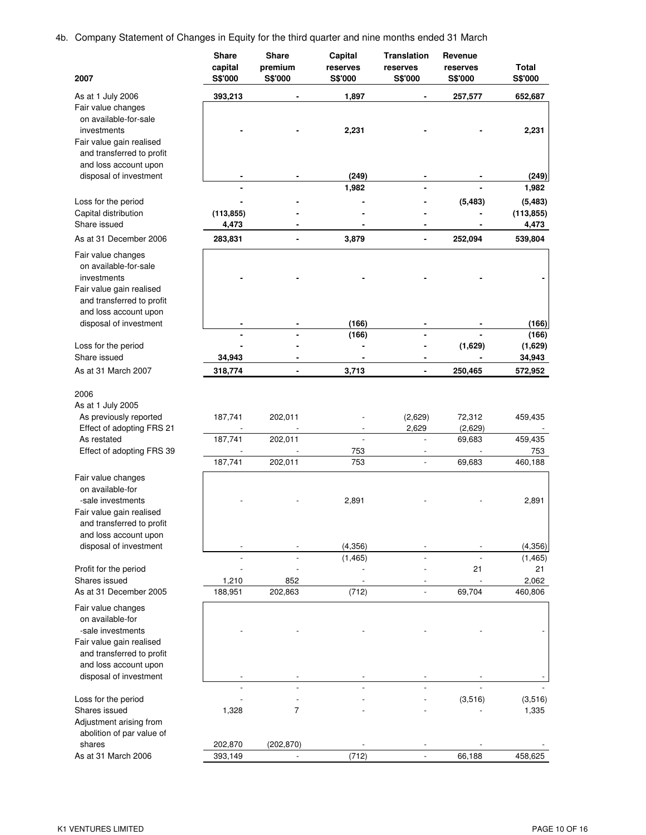4b. Company Statement of Changes in Equity for the third quarter and nine months ended 31 March

| 2007                                                                                                                                                                    | <b>Share</b><br>capital<br>S\$'000 | Share<br>premium<br>S\$'000   | Capital<br>reserves<br>S\$'000 | Translation<br>reserves<br>S\$'000 | Revenue<br>reserves<br>S\$'000        | Total<br>S\$'000                     |
|-------------------------------------------------------------------------------------------------------------------------------------------------------------------------|------------------------------------|-------------------------------|--------------------------------|------------------------------------|---------------------------------------|--------------------------------------|
| As at 1 July 2006                                                                                                                                                       | 393,213                            |                               | 1,897                          |                                    | 257,577                               | 652,687                              |
| Fair value changes<br>on available-for-sale<br>investments<br>Fair value gain realised<br>and transferred to profit                                                     |                                    |                               | 2,231                          |                                    |                                       | 2,231                                |
| and loss account upon<br>disposal of investment                                                                                                                         |                                    |                               | (249)                          |                                    |                                       |                                      |
|                                                                                                                                                                         |                                    |                               | 1,982                          |                                    |                                       | (249)<br>1,982                       |
| Loss for the period<br>Capital distribution                                                                                                                             | (113, 855)                         |                               |                                |                                    | (5, 483)                              | (5, 483)<br>(113, 855)               |
| Share issued                                                                                                                                                            | 4,473                              |                               |                                |                                    |                                       | 4,473                                |
| As at 31 December 2006                                                                                                                                                  | 283,831                            |                               | 3,879                          | $\blacksquare$                     | 252,094                               | 539,804                              |
| Fair value changes<br>on available-for-sale<br>investments<br>Fair value gain realised<br>and transferred to profit<br>and loss account upon                            |                                    |                               |                                |                                    |                                       |                                      |
| disposal of investment                                                                                                                                                  |                                    |                               | (166)                          |                                    |                                       | (166)                                |
| Loss for the period                                                                                                                                                     |                                    |                               | (166)                          |                                    | (1,629)                               | (166)<br>(1,629)                     |
| Share issued                                                                                                                                                            | 34,943                             |                               |                                | $\blacksquare$                     |                                       | 34,943                               |
| As at 31 March 2007                                                                                                                                                     | 318,774                            |                               | 3,713                          |                                    | 250,465                               | 572,952                              |
| 2006<br>As at 1 July 2005<br>As previously reported<br>Effect of adopting FRS 21<br>As restated<br>Effect of adopting FRS 39                                            | 187,741<br>187,741<br>187,741      | 202,011<br>202,011<br>202,011 | 753<br>753                     | (2,629)<br>2,629<br>$\mathbf{r}$   | 72,312<br>(2,629)<br>69,683<br>69,683 | 459,435<br>459,435<br>753<br>460,188 |
| Fair value changes                                                                                                                                                      |                                    |                               |                                |                                    |                                       |                                      |
| on available-for<br>-sale investments<br>Fair value gain realised<br>and transferred to profit<br>and loss account upon<br>disposal of investment                       |                                    |                               | 2,891<br>(4, 356)              |                                    |                                       | 2,891<br>(4,356)                     |
|                                                                                                                                                                         |                                    |                               | (1, 465)                       |                                    | 21                                    | (1, 465)<br>21                       |
| Profit for the period<br>Shares issued                                                                                                                                  | 1,210                              | 852                           |                                |                                    |                                       | 2,062                                |
| As at 31 December 2005                                                                                                                                                  | 188,951                            | 202,863                       | (712)                          |                                    | 69,704                                | 460,806                              |
| Fair value changes<br>on available-for<br>-sale investments<br>Fair value gain realised<br>and transferred to profit<br>and loss account upon<br>disposal of investment |                                    |                               |                                |                                    |                                       |                                      |
| Loss for the period                                                                                                                                                     |                                    |                               |                                |                                    | (3,516)                               | (3,516)                              |
| Shares issued<br>Adjustment arising from<br>abolition of par value of                                                                                                   | 1,328                              | $\overline{7}$                |                                |                                    |                                       | 1,335                                |
| shares                                                                                                                                                                  | 202,870                            | (202, 870)                    |                                |                                    |                                       |                                      |
| As at 31 March 2006                                                                                                                                                     | 393,149                            | $\overline{a}$                | (712)                          |                                    | 66,188                                | 458,625                              |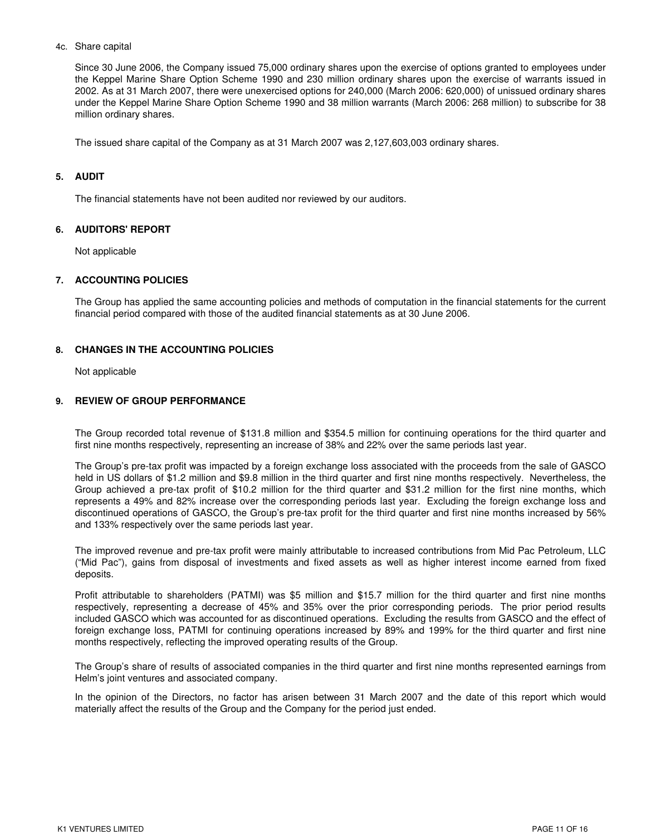### 4c. Share capital

Since 30 June 2006, the Company issued 75,000 ordinary shares upon the exercise of options granted to employees under the Keppel Marine Share Option Scheme 1990 and 230 million ordinary shares upon the exercise of warrants issued in 2002. As at 31 March 2007, there were unexercised options for 240,000 (March 2006: 620,000) of unissued ordinary shares under the Keppel Marine Share Option Scheme 1990 and 38 million warrants (March 2006: 268 million) to subscribe for 38 million ordinary shares.

The issued share capital of the Company as at 31 March 2007 was 2,127,603,003 ordinary shares.

### **5. AUDIT**

The financial statements have not been audited nor reviewed by our auditors.

### **6. AUDITORS' REPORT**

Not applicable

### **7. ACCOUNTING POLICIES**

The Group has applied the same accounting policies and methods of computation in the financial statements for the current financial period compared with those of the audited financial statements as at 30 June 2006.

### **8. CHANGES IN THE ACCOUNTING POLICIES**

Not applicable

## **9. REVIEW OF GROUP PERFORMANCE**

The Group recorded total revenue of \$131.8 million and \$354.5 million for continuing operations for the third quarter and first nine months respectively, representing an increase of 38% and 22% over the same periods last year.

The Group's pre-tax profit was impacted by a foreign exchange loss associated with the proceeds from the sale of GASCO held in US dollars of \$1.2 million and \$9.8 million in the third quarter and first nine months respectively. Nevertheless, the Group achieved a pre-tax profit of \$10.2 million for the third quarter and \$31.2 million for the first nine months, which represents a 49% and 82% increase over the corresponding periods last year. Excluding the foreign exchange loss and discontinued operations of GASCO, the Group's pre-tax profit for the third quarter and first nine months increased by 56% and 133% respectively over the same periods last year.

The improved revenue and pre-tax profit were mainly attributable to increased contributions from Mid Pac Petroleum, LLC ("Mid Pac"), gains from disposal of investments and fixed assets as well as higher interest income earned from fixed deposits.

Profit attributable to shareholders (PATMI) was \$5 million and \$15.7 million for the third quarter and first nine months respectively, representing a decrease of 45% and 35% over the prior corresponding periods. The prior period results included GASCO which was accounted for as discontinued operations. Excluding the results from GASCO and the effect of foreign exchange loss, PATMI for continuing operations increased by 89% and 199% for the third quarter and first nine months respectively, reflecting the improved operating results of the Group.

The Group's share of results of associated companies in the third quarter and first nine months represented earnings from Helm's joint ventures and associated company.

In the opinion of the Directors, no factor has arisen between 31 March 2007 and the date of this report which would materially affect the results of the Group and the Company for the period just ended.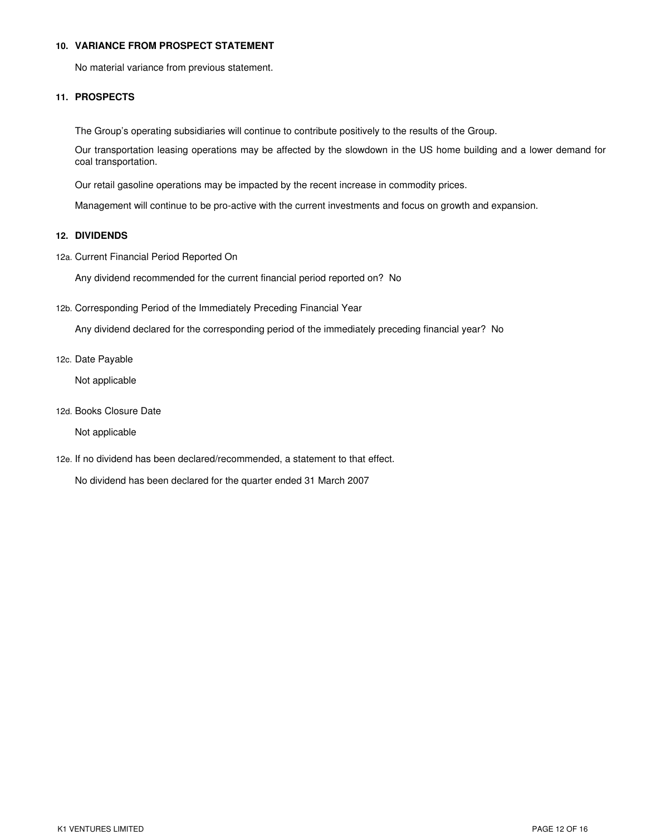### **10. VARIANCE FROM PROSPECT STATEMENT**

No material variance from previous statement.

## **11. PROSPECTS**

The Group's operating subsidiaries will continue to contribute positively to the results of the Group.

Our transportation leasing operations may be affected by the slowdown in the US home building and a lower demand for coal transportation.

Our retail gasoline operations may be impacted by the recent increase in commodity prices.

Management will continue to be pro-active with the current investments and focus on growth and expansion.

## **12. DIVIDENDS**

12a. Current Financial Period Reported On

Any dividend recommended for the current financial period reported on? No

12b. Corresponding Period of the Immediately Preceding Financial Year

Any dividend declared for the corresponding period of the immediately preceding financial year? No

12c. Date Payable

Not applicable

12d. Books Closure Date

Not applicable

12e. If no dividend has been declared/recommended, a statement to that effect.

No dividend has been declared for the quarter ended 31 March 2007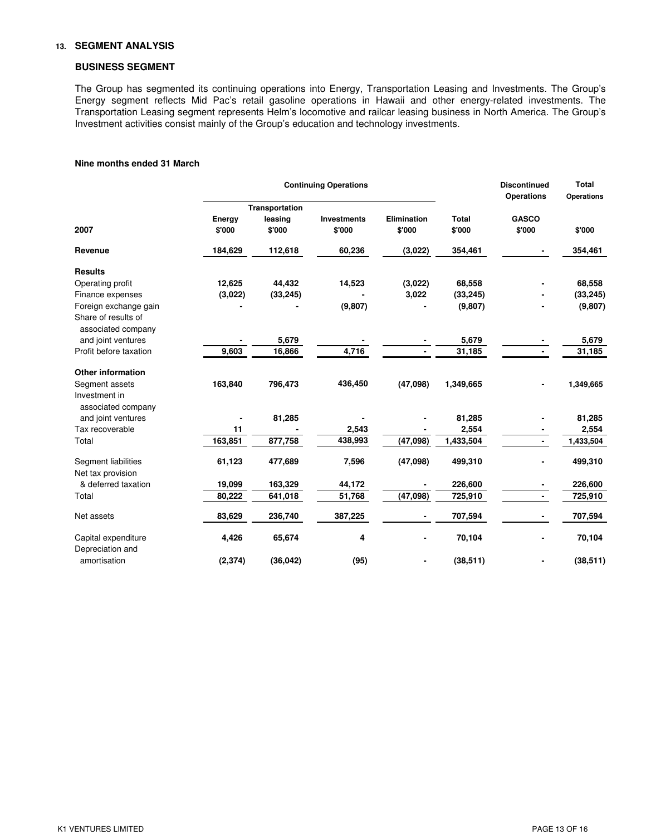## **13. SEGMENT ANALYSIS**

### **BUSINESS SEGMENT**

The Group has segmented its continuing operations into Energy, Transportation Leasing and Investments. The Group's Energy segment reflects Mid Pac's retail gasoline operations in Hawaii and other energy-related investments. The Transportation Leasing segment represents Helm's locomotive and railcar leasing business in North America. The Group's Investment activities consist mainly of the Group's education and technology investments.

### **Nine months ended 31 March**

|                                           |                  |                                     | <b>Continuing Operations</b> |                              |                        | <b>Discontinued</b><br><b>Operations</b> | <b>Total</b><br><b>Operations</b> |  |
|-------------------------------------------|------------------|-------------------------------------|------------------------------|------------------------------|------------------------|------------------------------------------|-----------------------------------|--|
| 2007                                      | Energy<br>\$'000 | Transportation<br>leasing<br>\$'000 | <b>Investments</b><br>\$'000 | <b>Elimination</b><br>\$'000 | <b>Total</b><br>\$'000 | <b>GASCO</b><br>\$'000                   | \$'000                            |  |
| Revenue                                   | 184,629          | 112,618                             | 60,236                       | (3,022)                      | 354,461                |                                          | 354,461                           |  |
| <b>Results</b>                            |                  |                                     |                              |                              |                        |                                          |                                   |  |
| Operating profit                          | 12,625           | 44,432                              | 14,523                       | (3,022)                      | 68,558                 |                                          | 68,558                            |  |
| Finance expenses                          | (3,022)          | (33, 245)                           |                              | 3,022                        | (33, 245)              |                                          | (33, 245)                         |  |
| Foreign exchange gain                     |                  |                                     | (9,807)                      |                              | (9,807)                |                                          | (9, 807)                          |  |
| Share of results of<br>associated company |                  |                                     |                              |                              |                        |                                          |                                   |  |
| and joint ventures                        |                  | 5,679                               |                              |                              | 5,679                  |                                          | 5,679                             |  |
| Profit before taxation                    | 9,603            | 16,866                              | 4,716                        |                              | 31,185                 |                                          | 31,185                            |  |
| <b>Other information</b>                  |                  |                                     |                              |                              |                        |                                          |                                   |  |
| Segment assets                            | 163,840          | 796,473                             | 436,450                      | (47,098)                     | 1,349,665              |                                          | 1,349,665                         |  |
| Investment in<br>associated company       |                  |                                     |                              |                              |                        |                                          |                                   |  |
| and joint ventures                        |                  | 81,285                              |                              |                              | 81,285                 |                                          | 81,285                            |  |
| Tax recoverable                           | 11               |                                     | 2,543                        |                              | 2,554                  |                                          | 2,554                             |  |
| Total                                     | 163,851          | 877,758                             | 438,993                      | (47,098)                     | 1,433,504              | $\overline{\phantom{0}}$                 | 1,433,504                         |  |
| Segment liabilities<br>Net tax provision  | 61,123           | 477,689                             | 7,596                        | (47,098)                     | 499,310                |                                          | 499,310                           |  |
| & deferred taxation                       | 19,099           | 163,329                             | 44,172                       |                              | 226,600                |                                          | 226,600                           |  |
| Total                                     | 80,222           | 641,018                             | 51,768                       | (47,098)                     | 725,910                |                                          | 725,910                           |  |
| Net assets                                | 83,629           | 236,740                             | 387,225                      |                              | 707,594                |                                          | 707,594                           |  |
| Capital expenditure<br>Depreciation and   | 4,426            | 65,674                              | 4                            |                              | 70,104                 |                                          | 70,104                            |  |
| amortisation                              | (2, 374)         | (36, 042)                           | (95)                         |                              | (38, 511)              |                                          | (38, 511)                         |  |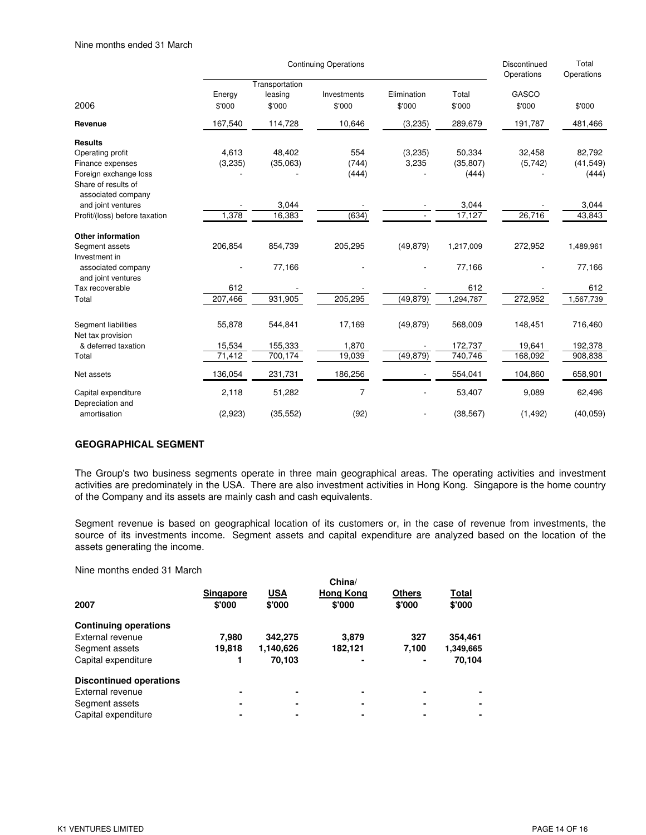|                                           |                  |                                     | <b>Continuing Operations</b> |                       |                 | Discontinued<br>Operations | Total<br>Operations |
|-------------------------------------------|------------------|-------------------------------------|------------------------------|-----------------------|-----------------|----------------------------|---------------------|
| 2006                                      | Energy<br>\$'000 | Transportation<br>leasing<br>\$'000 | Investments<br>\$'000        | Elimination<br>\$'000 | Total<br>\$'000 | GASCO<br>\$'000            | \$'000              |
|                                           |                  |                                     |                              |                       |                 |                            |                     |
| Revenue                                   | 167,540          | 114,728                             | 10,646                       | (3,235)               | 289,679         | 191,787                    | 481,466             |
| <b>Results</b>                            |                  |                                     |                              |                       |                 |                            |                     |
| Operating profit                          | 4,613            | 48,402                              | 554                          | (3,235)               | 50,334          | 32,458                     | 82,792              |
| Finance expenses                          | (3,235)          | (35,063)                            | (744)                        | 3,235                 | (35, 807)       | (5,742)                    | (41, 549)           |
| Foreign exchange loss                     |                  |                                     | (444)                        |                       | (444)           |                            | (444)               |
| Share of results of<br>associated company |                  |                                     |                              |                       |                 |                            |                     |
| and joint ventures                        |                  | 3,044                               |                              |                       | 3,044           |                            | 3,044               |
| Profit/(loss) before taxation             | 1,378            | 16,383                              | (634)                        |                       | 17,127          | 26,716                     | 43,843              |
| <b>Other information</b>                  |                  |                                     |                              |                       |                 |                            |                     |
| Segment assets                            | 206,854          | 854,739                             | 205,295                      | (49, 879)             | 1,217,009       | 272,952                    | 1,489,961           |
| Investment in                             |                  |                                     |                              |                       |                 |                            |                     |
| associated company<br>and joint ventures  |                  | 77,166                              |                              |                       | 77,166          |                            | 77,166              |
| Tax recoverable                           | 612              |                                     |                              |                       | 612             |                            | 612                 |
| Total                                     | 207,466          | 931,905                             | 205,295                      | (49, 879)             | 1,294,787       | 272,952                    | 1,567,739           |
| Segment liabilities<br>Net tax provision  | 55,878           | 544,841                             | 17,169                       | (49, 879)             | 568,009         | 148,451                    | 716,460             |
| & deferred taxation                       | 15,534           | 155,333                             | 1,870                        |                       | 172,737         | 19,641                     | 192,378             |
| Total                                     | 71,412           | 700,174                             | 19,039                       | (49, 879)             | 740,746         | 168,092                    | 908,838             |
| Net assets                                | 136,054          | 231,731                             | 186,256                      |                       | 554,041         | 104,860                    | 658,901             |
| Capital expenditure<br>Depreciation and   | 2,118            | 51,282                              | $\overline{7}$               |                       | 53,407          | 9,089                      | 62,496              |
| amortisation                              | (2,923)          | (35, 552)                           | (92)                         |                       | (38, 567)       | (1, 492)                   | (40, 059)           |

## **GEOGRAPHICAL SEGMENT**

The Group's two business segments operate in three main geographical areas. The operating activities and investment activities are predominately in the USA. There are also investment activities in Hong Kong. Singapore is the home country of the Company and its assets are mainly cash and cash equivalents.

Segment revenue is based on geographical location of its customers or, in the case of revenue from investments, the source of its investments income. Segment assets and capital expenditure are analyzed based on the location of the assets generating the income.

Nine months ended 31 March

|                                |                  |            | China/           |               |           |
|--------------------------------|------------------|------------|------------------|---------------|-----------|
|                                | <b>Singapore</b> | <b>USA</b> | <b>Hong Kong</b> | <b>Others</b> | Total     |
| 2007                           | \$'000           | \$'000     | \$'000           | \$'000        | \$'000    |
| <b>Continuing operations</b>   |                  |            |                  |               |           |
| External revenue               | 7,980            | 342,275    | 3.879            | 327           | 354,461   |
| Segment assets                 | 19.818           | 1,140,626  | 182,121          | 7.100         | 1,349,665 |
| Capital expenditure            |                  | 70.103     |                  |               | 70,104    |
| <b>Discontinued operations</b> |                  |            |                  |               |           |
| External revenue               | ۰                | ۰          |                  |               |           |
| Segment assets                 | ۰                | ۰          |                  |               |           |
| Capital expenditure            | ۰                | ۰          |                  |               |           |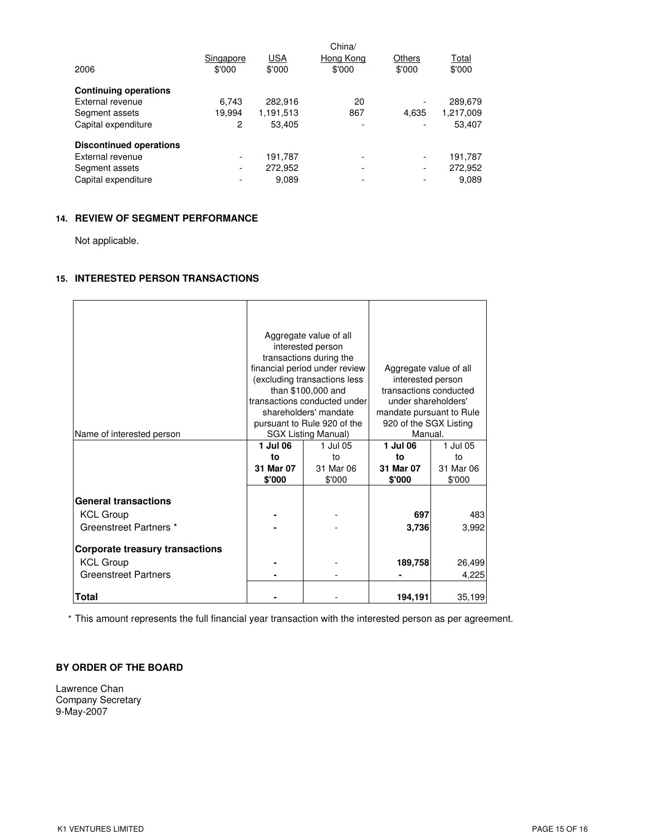| 2006                           | Singapore<br>\$'000      | <b>USA</b><br>\$'000 | China/<br>Hong Kong<br>\$'000 | Others<br>\$'000 | Total<br>\$'000 |
|--------------------------------|--------------------------|----------------------|-------------------------------|------------------|-----------------|
| <b>Continuing operations</b>   |                          |                      |                               |                  |                 |
| External revenue               | 6.743                    | 282,916              | 20                            |                  | 289,679         |
| Segment assets                 | 19,994                   | 1,191,513            | 867                           | 4.635            | 1,217,009       |
| Capital expenditure            | 2                        | 53,405               |                               |                  | 53,407          |
| <b>Discontinued operations</b> |                          |                      |                               |                  |                 |
| External revenue               | $\overline{\phantom{a}}$ | 191.787              |                               |                  | 191,787         |
| Segment assets                 | $\overline{\phantom{a}}$ | 272,952              | ۰                             |                  | 272,952         |
| Capital expenditure            | -                        | 9.089                | ۰                             |                  | 9,089           |

# **14. REVIEW OF SEGMENT PERFORMANCE**

Not applicable.

# **15. INTERESTED PERSON TRANSACTIONS**

| Name of interested person                  | 1 Jul 06<br>to      | Aggregate value of all<br>interested person<br>transactions during the<br>financial period under review<br>(excluding transactions less<br>than \$100,000 and<br>transactions conducted under<br>shareholders' mandate<br>pursuant to Rule 920 of the<br><b>SGX Listing Manual)</b><br>1 Jul 05<br>to | Aggregate value of all<br>interested person<br>transactions conducted<br>under shareholders'<br>mandate pursuant to Rule<br>920 of the SGX Listing<br>Manual.<br>1 Jul 06<br>1 Jul 05 |                     |  |
|--------------------------------------------|---------------------|-------------------------------------------------------------------------------------------------------------------------------------------------------------------------------------------------------------------------------------------------------------------------------------------------------|---------------------------------------------------------------------------------------------------------------------------------------------------------------------------------------|---------------------|--|
|                                            | 31 Mar 07<br>\$'000 | 31 Mar 06<br>\$'000                                                                                                                                                                                                                                                                                   | 31 Mar 07<br>\$'000                                                                                                                                                                   | 31 Mar 06<br>\$'000 |  |
| <b>General transactions</b>                |                     |                                                                                                                                                                                                                                                                                                       |                                                                                                                                                                                       |                     |  |
| <b>KCL Group</b><br>Greenstreet Partners * |                     |                                                                                                                                                                                                                                                                                                       | 697<br>3,736                                                                                                                                                                          | 483<br>3,992        |  |
| <b>Corporate treasury transactions</b>     |                     |                                                                                                                                                                                                                                                                                                       |                                                                                                                                                                                       |                     |  |
| <b>KCL Group</b>                           |                     |                                                                                                                                                                                                                                                                                                       | 189,758                                                                                                                                                                               | 26,499              |  |
| <b>Greenstreet Partners</b>                |                     |                                                                                                                                                                                                                                                                                                       |                                                                                                                                                                                       | 4,225               |  |
| <b>Total</b>                               |                     |                                                                                                                                                                                                                                                                                                       | 194,191                                                                                                                                                                               | 35,199              |  |

\* This amount represents the full financial year transaction with the interested person as per agreement.

# **BY ORDER OF THE BOARD**

Lawrence Chan Company Secretary 9-May-2007